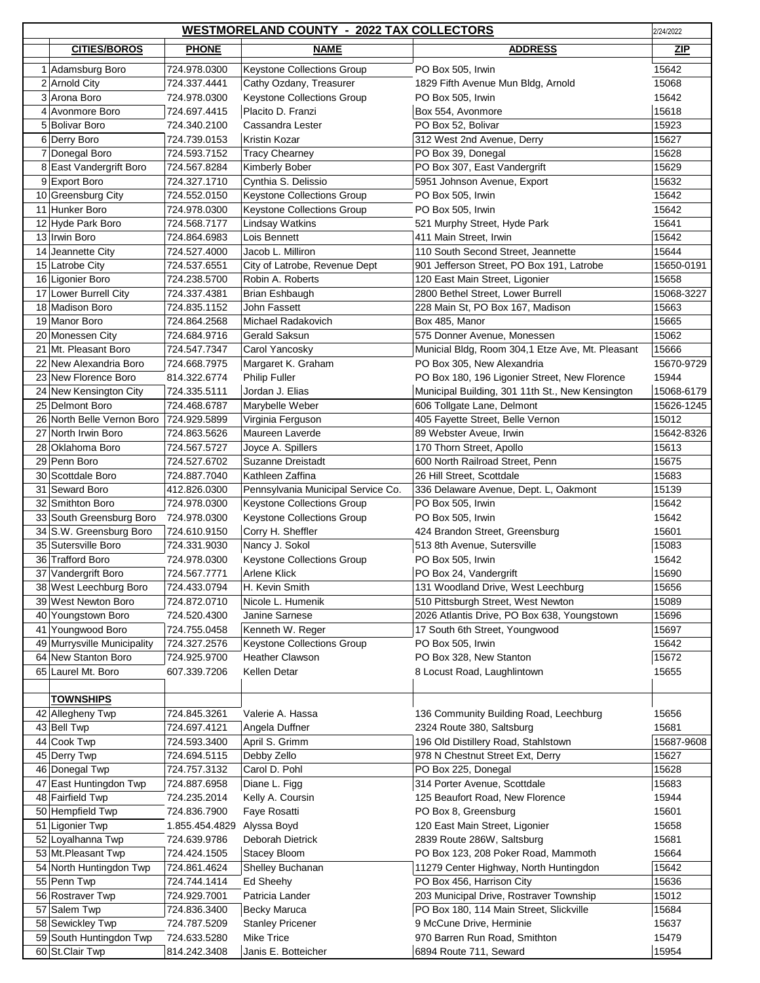|    | <b>WESTMORELAND COUNTY - 2022 TAX COLLECTORS</b><br>2/24/2022 |                              |                                      |                                                             |                     |  |  |
|----|---------------------------------------------------------------|------------------------------|--------------------------------------|-------------------------------------------------------------|---------------------|--|--|
|    | <b>CITIES/BOROS</b>                                           | <b>PHONE</b>                 | <b>NAME</b>                          | <b>ADDRESS</b>                                              | <b>ZIP</b>          |  |  |
|    | 1 Adamsburg Boro                                              | 724.978.0300                 | <b>Keystone Collections Group</b>    | PO Box 505, Irwin                                           | 15642               |  |  |
|    | 2 Arnold City                                                 | 724.337.4441                 | Cathy Ozdany, Treasurer              | 1829 Fifth Avenue Mun Bldg, Arnold                          | 15068               |  |  |
|    | 3 Arona Boro                                                  | 724.978.0300                 | Keystone Collections Group           | PO Box 505, Irwin                                           | 15642               |  |  |
|    | 4 Avonmore Boro                                               | 724.697.4415                 | Placito D. Franzi                    | Box 554, Avonmore                                           | 15618               |  |  |
|    | 5 Bolivar Boro                                                | 724.340.2100                 | Cassandra Lester                     | PO Box 52, Bolivar                                          | 15923               |  |  |
|    | 6 Derry Boro                                                  | 724.739.0153                 | Kristin Kozar                        | 312 West 2nd Avenue, Derry                                  | 15627               |  |  |
|    | 7 Donegal Boro                                                | 724.593.7152                 | <b>Tracy Chearney</b>                | PO Box 39, Donegal                                          | 15628               |  |  |
|    | 8 East Vandergrift Boro                                       | 724.567.8284                 | Kimberly Bober                       | PO Box 307, East Vandergrift                                | 15629               |  |  |
| 9  | <b>Export Boro</b>                                            | 724.327.1710                 | Cynthia S. Delissio                  | 5951 Johnson Avenue, Export                                 | 15632               |  |  |
|    | 10 Greensburg City                                            | 724.552.0150                 | <b>Keystone Collections Group</b>    | PO Box 505, Irwin                                           | 15642               |  |  |
|    | 11 Hunker Boro                                                | 724.978.0300                 | <b>Keystone Collections Group</b>    | PO Box 505, Irwin                                           | 15642               |  |  |
|    | 12 Hyde Park Boro                                             | 724.568.7177                 | <b>Lindsay Watkins</b>               | 521 Murphy Street, Hyde Park                                | 15641               |  |  |
|    | 13 Irwin Boro                                                 | 724.864.6983                 | Lois Bennett                         | 411 Main Street, Irwin                                      | 15642               |  |  |
|    | 14 Jeannette City                                             | 724.527.4000                 | Jacob L. Milliron                    | 110 South Second Street, Jeannette                          | 15644               |  |  |
|    | 15 Latrobe City                                               | 724.537.6551                 | City of Latrobe, Revenue Dept        | 901 Jefferson Street, PO Box 191, Latrobe                   | 15650-0191          |  |  |
|    | 16 Ligonier Boro                                              | 724.238.5700                 | Robin A. Roberts                     | 120 East Main Street, Ligonier                              | 15658               |  |  |
|    | 17 Lower Burrell City                                         | 724.337.4381                 | Brian Eshbaugh                       | 2800 Bethel Street, Lower Burrell                           | 15068-3227          |  |  |
|    | 18 Madison Boro                                               | 724.835.1152                 | John Fassett                         | 228 Main St, PO Box 167, Madison                            | 15663               |  |  |
|    | 19 Manor Boro                                                 | 724.864.2568                 | Michael Radakovich                   | Box 485, Manor                                              | 15665               |  |  |
|    | 20 Monessen City                                              | 724.684.9716                 | Gerald Saksun                        | 575 Donner Avenue, Monessen                                 | 15062               |  |  |
|    | 21 Mt. Pleasant Boro                                          | 724.547.7347                 | Carol Yancosky                       | Municial Bldg, Room 304,1 Etze Ave, Mt. Pleasant            | 15666               |  |  |
|    | 22 New Alexandria Boro                                        | 724.668.7975                 | Margaret K. Graham                   | PO Box 305, New Alexandria                                  | 15670-9729          |  |  |
|    | 23 New Florence Boro                                          | 814.322.6774                 | <b>Philip Fuller</b>                 | PO Box 180, 196 Ligonier Street, New Florence               | 15944               |  |  |
|    | 24 New Kensington City                                        | 724.335.5111                 | Jordan J. Elias                      | Municipal Building, 301 11th St., New Kensington            | 15068-6179          |  |  |
|    | 25 Delmont Boro<br>26 North Belle Vernon Boro                 | 724.468.6787                 | Marybelle Weber                      | 606 Tollgate Lane, Delmont                                  | 15626-1245          |  |  |
|    | 27 North Irwin Boro                                           | 724.929.5899<br>724.863.5626 | Virginia Ferguson<br>Maureen Laverde | 405 Fayette Street, Belle Vernon<br>89 Webster Aveue, Irwin | 15012<br>15642-8326 |  |  |
| 28 | Oklahoma Boro                                                 | 724.567.5727                 | Joyce A. Spillers                    | 170 Thorn Street, Apollo                                    | 15613               |  |  |
|    | 29 Penn Boro                                                  | 724.527.6702                 | <b>Suzanne Dreistadt</b>             | 600 North Railroad Street, Penn                             | 15675               |  |  |
| 30 | Scottdale Boro                                                | 724.887.7040                 | Kathleen Zaffina                     | 26 Hill Street, Scottdale                                   | 15683               |  |  |
|    | 31 Seward Boro                                                | 412.826.0300                 | Pennsylvania Municipal Service Co.   | 336 Delaware Avenue, Dept. L, Oakmont                       | 15139               |  |  |
|    | 32 Smithton Boro                                              | 724.978.0300                 | <b>Keystone Collections Group</b>    | PO Box 505, Irwin                                           | 15642               |  |  |
|    | 33 South Greensburg Boro                                      | 724.978.0300                 | Keystone Collections Group           | PO Box 505, Irwin                                           | 15642               |  |  |
|    | 34 S.W. Greensburg Boro                                       | 724.610.9150                 | Corry H. Sheffler                    | 424 Brandon Street, Greensburg                              | 15601               |  |  |
|    | 35 Sutersville Boro                                           | 724.331.9030                 | Nancy J. Sokol                       | 513 8th Avenue, Sutersville                                 | 15083               |  |  |
|    | 36 Trafford Boro                                              | 724.978.0300                 | <b>Keystone Collections Group</b>    | PO Box 505, Irwin                                           | 15642               |  |  |
|    | 37 Vandergrift Boro                                           | 724.567.7771                 | <b>Arlene Klick</b>                  | PO Box 24, Vandergrift                                      | 15690               |  |  |
|    | 38 West Leechburg Boro                                        | 724.433.0794                 | H. Kevin Smith                       | 131 Woodland Drive, West Leechburg                          | 15656               |  |  |
|    | 39 West Newton Boro                                           | 724.872.0710                 | Nicole L. Humenik                    | 510 Pittsburgh Street, West Newton                          | 15089               |  |  |
|    | 40 Youngstown Boro                                            | 724.520.4300                 | Janine Sarnese                       | 2026 Atlantis Drive, PO Box 638, Youngstown                 | 15696               |  |  |
|    | 41 Youngwood Boro                                             | 724.755.0458                 | Kenneth W. Reger                     | 17 South 6th Street, Youngwood                              | 15697               |  |  |
| 49 | Murrysville Municipality                                      | 724.327.2576                 | Keystone Collections Group           | PO Box 505, Irwin                                           | 15642               |  |  |
|    | 64 New Stanton Boro                                           | 724.925.9700                 | <b>Heather Clawson</b>               | PO Box 328, New Stanton                                     | 15672               |  |  |
|    | 65 Laurel Mt. Boro                                            | 607.339.7206                 | <b>Kellen Detar</b>                  | 8 Locust Road, Laughlintown                                 | 15655               |  |  |
|    |                                                               |                              |                                      |                                                             |                     |  |  |
|    | <b>TOWNSHIPS</b>                                              |                              |                                      |                                                             |                     |  |  |
|    | 42 Allegheny Twp                                              | 724.845.3261                 | Valerie A. Hassa                     | 136 Community Building Road, Leechburg                      | 15656               |  |  |
|    | 43 Bell Twp                                                   | 724.697.4121                 | Angela Duffner                       | 2324 Route 380, Saltsburg                                   | 15681               |  |  |
|    | 44 Cook Twp                                                   | 724.593.3400                 | April S. Grimm                       | 196 Old Distillery Road, Stahlstown                         | 15687-9608          |  |  |
|    | 45 Derry Twp                                                  | 724.694.5115                 | Debby Zello<br>Carol D. Pohl         | 978 N Chestnut Street Ext, Derry                            | 15627<br>15628      |  |  |
|    | 46 Donegal Twp<br>47 East Huntingdon Twp                      | 724.757.3132<br>724.887.6958 | Diane L. Figg                        | PO Box 225, Donegal<br>314 Porter Avenue, Scottdale         | 15683               |  |  |
|    | 48 Fairfield Twp                                              | 724.235.2014                 | Kelly A. Coursin                     | 125 Beaufort Road, New Florence                             | 15944               |  |  |
|    | 50 Hempfield Twp                                              | 724.836.7900                 | Faye Rosatti                         | PO Box 8, Greensburg                                        | 15601               |  |  |
|    | 51 Ligonier Twp                                               | 1.855.454.4829               | Alyssa Boyd                          | 120 East Main Street, Ligonier                              | 15658               |  |  |
|    | 52 Loyalhanna Twp                                             | 724.639.9786                 | Deborah Dietrick                     | 2839 Route 286W, Saltsburg                                  | 15681               |  |  |
|    | 53 Mt. Pleasant Twp                                           | 724.424.1505                 | Stacey Bloom                         | PO Box 123, 208 Poker Road, Mammoth                         | 15664               |  |  |
|    | 54 North Huntingdon Twp                                       | 724.861.4624                 | Shelley Buchanan                     | 11279 Center Highway, North Huntingdon                      | 15642               |  |  |
|    | 55 Penn Twp                                                   | 724.744.1414                 | Ed Sheehy                            | PO Box 456, Harrison City                                   | 15636               |  |  |
|    | 56 Rostraver Twp                                              | 724.929.7001                 | Patricia Lander                      | 203 Municipal Drive, Rostraver Township                     | 15012               |  |  |
|    | 57 Salem Twp                                                  | 724.836.3400                 | Becky Maruca                         | PO Box 180, 114 Main Street, Slickville                     | 15684               |  |  |
|    | 58 Sewickley Twp                                              | 724.787.5209                 | <b>Stanley Pricener</b>              | 9 McCune Drive, Herminie                                    | 15637               |  |  |
|    | 59 South Huntingdon Twp                                       | 724.633.5280                 | <b>Mike Trice</b>                    | 970 Barren Run Road, Smithton                               | 15479               |  |  |
|    | 60 St.Clair Twp                                               | 814.242.3408                 | Janis E. Botteicher                  | 6894 Route 711, Seward                                      | 15954               |  |  |